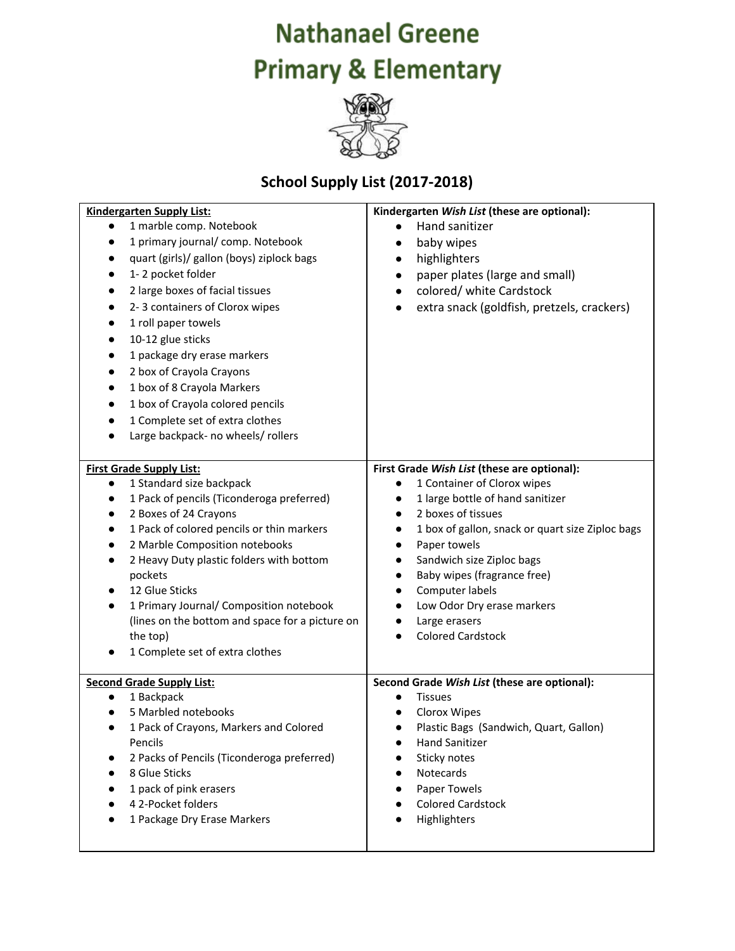## **Nathanael Greene Primary & Elementary**



## **School Supply List (2017-2018)**

| <b>Kindergarten Supply List:</b>                       | Kindergarten Wish List (these are optional):                  |
|--------------------------------------------------------|---------------------------------------------------------------|
| 1 marble comp. Notebook                                | Hand sanitizer                                                |
| 1 primary journal/comp. Notebook                       | baby wipes<br>$\bullet$                                       |
| quart (girls)/ gallon (boys) ziplock bags              | highlighters<br>$\bullet$                                     |
| 1-2 pocket folder                                      | paper plates (large and small)<br>$\bullet$                   |
| 2 large boxes of facial tissues                        | colored/ white Cardstock<br>$\bullet$                         |
| 2-3 containers of Clorox wipes                         | extra snack (goldfish, pretzels, crackers)                    |
| 1 roll paper towels                                    |                                                               |
| 10-12 glue sticks                                      |                                                               |
| 1 package dry erase markers                            |                                                               |
| 2 box of Crayola Crayons                               |                                                               |
| 1 box of 8 Crayola Markers                             |                                                               |
| 1 box of Crayola colored pencils                       |                                                               |
| 1 Complete set of extra clothes                        |                                                               |
| Large backpack- no wheels/ rollers                     |                                                               |
|                                                        |                                                               |
| <b>First Grade Supply List:</b>                        | First Grade Wish List (these are optional):                   |
| 1 Standard size backpack<br>$\bullet$                  | 1 Container of Clorox wipes<br>$\bullet$                      |
| 1 Pack of pencils (Ticonderoga preferred)<br>$\bullet$ | 1 large bottle of hand sanitizer<br>$\bullet$                 |
| 2 Boxes of 24 Crayons                                  | 2 boxes of tissues<br>$\bullet$                               |
| 1 Pack of colored pencils or thin markers<br>$\bullet$ | 1 box of gallon, snack or quart size Ziploc bags<br>$\bullet$ |
| 2 Marble Composition notebooks                         | Paper towels<br>$\bullet$                                     |
| 2 Heavy Duty plastic folders with bottom<br>$\bullet$  | Sandwich size Ziploc bags<br>$\bullet$                        |
| pockets                                                | Baby wipes (fragrance free)<br>$\bullet$                      |
| 12 Glue Sticks                                         | Computer labels<br>$\bullet$                                  |
| 1 Primary Journal/ Composition notebook<br>$\bullet$   | Low Odor Dry erase markers                                    |
| (lines on the bottom and space for a picture on        | Large erasers                                                 |
| the top)                                               | <b>Colored Cardstock</b>                                      |
| 1 Complete set of extra clothes                        |                                                               |
| <b>Second Grade Supply List:</b>                       | Second Grade Wish List (these are optional):                  |
| 1 Backpack<br>$\bullet$                                | <b>Tissues</b><br>$\bullet$                                   |
| 5 Marbled notebooks                                    | Clorox Wipes                                                  |
| 1 Pack of Crayons, Markers and Colored                 | Plastic Bags (Sandwich, Quart, Gallon)<br>$\bullet$           |
| Pencils                                                | <b>Hand Sanitizer</b>                                         |
| 2 Packs of Pencils (Ticonderoga preferred)             | Sticky notes                                                  |
| 8 Glue Sticks                                          | Notecards                                                     |
| 1 pack of pink erasers                                 | Paper Towels                                                  |
| 4 2-Pocket folders                                     | <b>Colored Cardstock</b>                                      |
| 1 Package Dry Erase Markers                            | Highlighters                                                  |
|                                                        |                                                               |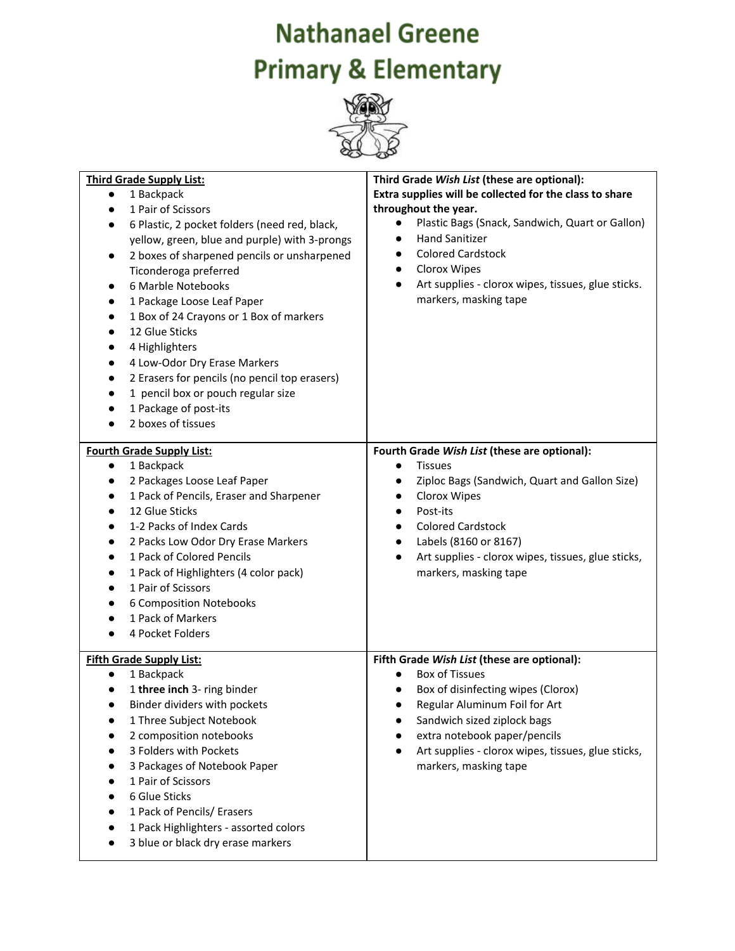## **Nathanael Greene Primary & Elementary**



| <b>Third Grade Supply List:</b>                            | Third Grade Wish List (these are optional):                     |
|------------------------------------------------------------|-----------------------------------------------------------------|
| 1 Backpack<br>$\bullet$                                    | Extra supplies will be collected for the class to share         |
| 1 Pair of Scissors<br>$\bullet$                            | throughout the year.                                            |
| 6 Plastic, 2 pocket folders (need red, black,<br>$\bullet$ | Plastic Bags (Snack, Sandwich, Quart or Gallon)<br>$\bullet$    |
| yellow, green, blue and purple) with 3-prongs              | <b>Hand Sanitizer</b><br>$\bullet$                              |
| 2 boxes of sharpened pencils or unsharpened<br>$\bullet$   | <b>Colored Cardstock</b><br>$\bullet$                           |
| Ticonderoga preferred                                      | Clorox Wipes<br>$\bullet$                                       |
| 6 Marble Notebooks                                         | Art supplies - clorox wipes, tissues, glue sticks.<br>$\bullet$ |
| 1 Package Loose Leaf Paper<br>٠                            | markers, masking tape                                           |
| 1 Box of 24 Crayons or 1 Box of markers<br>$\bullet$       |                                                                 |
| 12 Glue Sticks<br>$\bullet$                                |                                                                 |
| 4 Highlighters                                             |                                                                 |
| 4 Low-Odor Dry Erase Markers<br>$\bullet$                  |                                                                 |
| 2 Erasers for pencils (no pencil top erasers)<br>$\bullet$ |                                                                 |
| 1 pencil box or pouch regular size<br>$\bullet$            |                                                                 |
| 1 Package of post-its                                      |                                                                 |
| 2 boxes of tissues                                         |                                                                 |
|                                                            |                                                                 |
| <b>Fourth Grade Supply List:</b>                           | Fourth Grade Wish List (these are optional):                    |
| 1 Backpack<br>$\bullet$                                    | <b>Tissues</b><br>$\bullet$                                     |
| 2 Packages Loose Leaf Paper                                | Ziploc Bags (Sandwich, Quart and Gallon Size)                   |
| 1 Pack of Pencils, Eraser and Sharpener                    | Clorox Wipes<br>$\bullet$                                       |
| 12 Glue Sticks                                             | Post-its<br>$\bullet$                                           |
| 1-2 Packs of Index Cards<br>$\bullet$                      | <b>Colored Cardstock</b><br>$\bullet$                           |
| 2 Packs Low Odor Dry Erase Markers<br>$\bullet$            | Labels (8160 or 8167)<br>$\bullet$                              |
| 1 Pack of Colored Pencils<br>$\bullet$                     | Art supplies - clorox wipes, tissues, glue sticks,<br>$\bullet$ |
| 1 Pack of Highlighters (4 color pack)<br>$\bullet$         | markers, masking tape                                           |
| 1 Pair of Scissors<br>$\bullet$                            |                                                                 |
| 6 Composition Notebooks                                    |                                                                 |
| 1 Pack of Markers                                          |                                                                 |
| 4 Pocket Folders                                           |                                                                 |
|                                                            |                                                                 |
| <b>Fifth Grade Supply List:</b>                            | Fifth Grade Wish List (these are optional):                     |
| 1 Backpack<br>$\bullet$                                    | <b>Box of Tissues</b>                                           |
| 1 three inch 3- ring binder                                | Box of disinfecting wipes (Clorox)                              |
| Binder dividers with pockets                               | Regular Aluminum Foil for Art                                   |
| 1 Three Subject Notebook<br>2 composition notebooks        | Sandwich sized ziplock bags<br>extra notebook paper/pencils     |
|                                                            |                                                                 |
| 3 Folders with Pockets                                     | Art supplies - clorox wipes, tissues, glue sticks,<br>$\bullet$ |
| 3 Packages of Notebook Paper                               | markers, masking tape                                           |
| 1 Pair of Scissors                                         |                                                                 |
| 6 Glue Sticks                                              |                                                                 |
| 1 Pack of Pencils/ Erasers                                 |                                                                 |
| 1 Pack Highlighters - assorted colors                      |                                                                 |
| 3 blue or black dry erase markers                          |                                                                 |